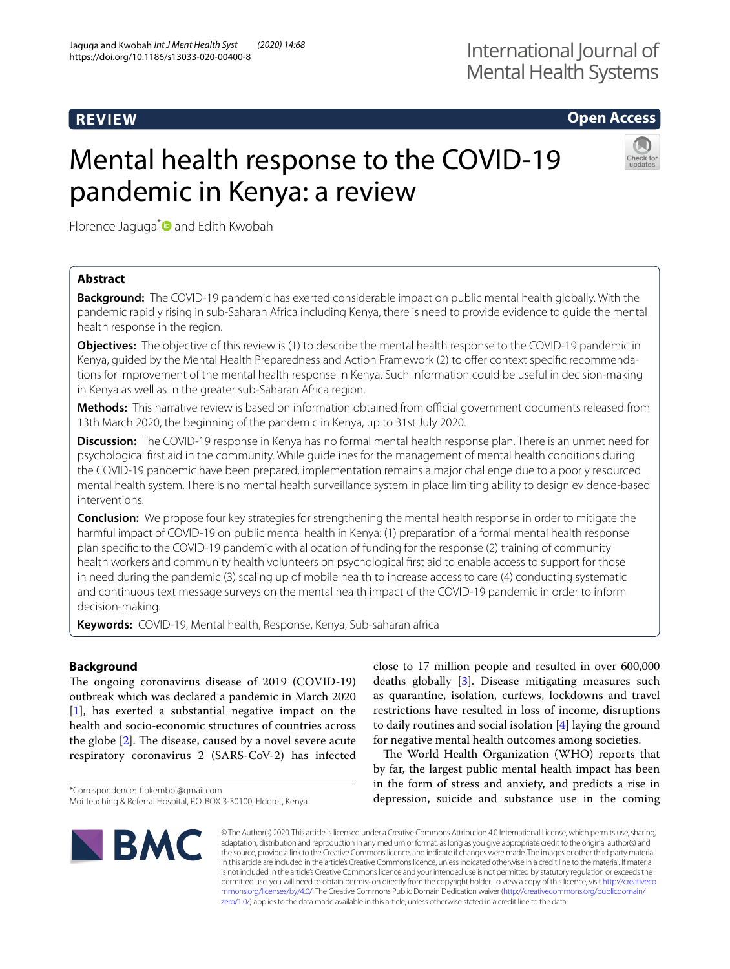# **REVIEW**

# **Open Access**

# Mental health response to the COVID-19 pandemic in Kenya: a review



Florence Jaguga<sup>\*</sup> and Edith Kwobah

# **Abstract**

**Background:** The COVID-19 pandemic has exerted considerable impact on public mental health globally. With the pandemic rapidly rising in sub-Saharan Africa including Kenya, there is need to provide evidence to guide the mental health response in the region.

**Objectives:** The objective of this review is (1) to describe the mental health response to the COVID-19 pandemic in Kenya, guided by the Mental Health Preparedness and Action Framework (2) to offer context specific recommendations for improvement of the mental health response in Kenya. Such information could be useful in decision-making in Kenya as well as in the greater sub-Saharan Africa region.

Methods: This narrative review is based on information obtained from official government documents released from 13th March 2020, the beginning of the pandemic in Kenya, up to 31st July 2020.

**Discussion:** The COVID-19 response in Kenya has no formal mental health response plan. There is an unmet need for psychological frst aid in the community. While guidelines for the management of mental health conditions during the COVID-19 pandemic have been prepared, implementation remains a major challenge due to a poorly resourced mental health system. There is no mental health surveillance system in place limiting ability to design evidence-based interventions.

**Conclusion:** We propose four key strategies for strengthening the mental health response in order to mitigate the harmful impact of COVID-19 on public mental health in Kenya: (1) preparation of a formal mental health response plan specifc to the COVID-19 pandemic with allocation of funding for the response (2) training of community health workers and community health volunteers on psychological frst aid to enable access to support for those in need during the pandemic (3) scaling up of mobile health to increase access to care (4) conducting systematic and continuous text message surveys on the mental health impact of the COVID-19 pandemic in order to inform decision-making.

**Keywords:** COVID-19, Mental health, Response, Kenya, Sub-saharan africa

# **Background**

The ongoing coronavirus disease of 2019 (COVID-19) outbreak which was declared a pandemic in March 2020 [[1\]](#page-4-0), has exerted a substantial negative impact on the health and socio-economic structures of countries across the globe  $[2]$  $[2]$ . The disease, caused by a novel severe acute respiratory coronavirus 2 (SARS-CoV-2) has infected

\*Correspondence: fokemboi@gmail.com

close to 17 million people and resulted in over 600,000 deaths globally [[3\]](#page-4-2). Disease mitigating measures such as quarantine, isolation, curfews, lockdowns and travel restrictions have resulted in loss of income, disruptions to daily routines and social isolation [[4\]](#page-4-3) laying the ground for negative mental health outcomes among societies.

The World Health Organization (WHO) reports that by far, the largest public mental health impact has been in the form of stress and anxiety, and predicts a rise in depression, suicide and substance use in the coming



© The Author(s) 2020. This article is licensed under a Creative Commons Attribution 4.0 International License, which permits use, sharing, adaptation, distribution and reproduction in any medium or format, as long as you give appropriate credit to the original author(s) and the source, provide a link to the Creative Commons licence, and indicate if changes were made. The images or other third party material in this article are included in the article's Creative Commons licence, unless indicated otherwise in a credit line to the material. If material is not included in the article's Creative Commons licence and your intended use is not permitted by statutory regulation or exceeds the permitted use, you will need to obtain permission directly from the copyright holder. To view a copy of this licence, visit [http://creativeco](http://creativecommons.org/licenses/by/4.0/) [mmons.org/licenses/by/4.0/.](http://creativecommons.org/licenses/by/4.0/) The Creative Commons Public Domain Dedication waiver ([http://creativecommons.org/publicdomain/](http://creativecommons.org/publicdomain/zero/1.0/) [zero/1.0/\)](http://creativecommons.org/publicdomain/zero/1.0/) applies to the data made available in this article, unless otherwise stated in a credit line to the data.

Moi Teaching & Referral Hospital, P.O. BOX 3-30100, Eldoret, Kenya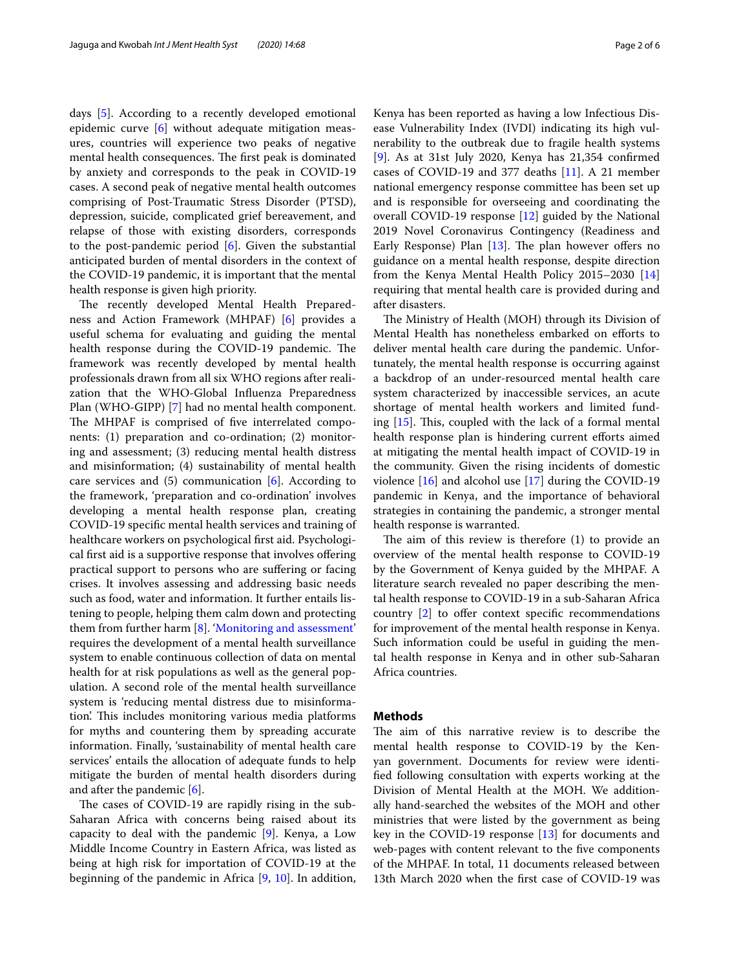days [\[5](#page-4-4)]. According to a recently developed emotional epidemic curve [[6\]](#page-4-5) without adequate mitigation measures, countries will experience two peaks of negative mental health consequences. The first peak is dominated by anxiety and corresponds to the peak in COVID-19 cases. A second peak of negative mental health outcomes comprising of Post-Traumatic Stress Disorder (PTSD), depression, suicide, complicated grief bereavement, and relapse of those with existing disorders, corresponds to the post-pandemic period [\[6](#page-4-5)]. Given the substantial anticipated burden of mental disorders in the context of the COVID-19 pandemic, it is important that the mental health response is given high priority.

The recently developed Mental Health Preparedness and Action Framework (MHPAF) [[6\]](#page-4-5) provides a useful schema for evaluating and guiding the mental health response during the COVID-19 pandemic. The framework was recently developed by mental health professionals drawn from all six WHO regions after realization that the WHO-Global Infuenza Preparedness Plan (WHO-GIPP) [[7](#page-4-6)] had no mental health component. The MHPAF is comprised of five interrelated components: (1) preparation and co-ordination; (2) monitoring and assessment; (3) reducing mental health distress and misinformation; (4) sustainability of mental health care services and  $(5)$  communication  $[6]$  $[6]$ . According to the framework, 'preparation and co-ordination' involves developing a mental health response plan, creating COVID-19 specifc mental health services and training of healthcare workers on psychological frst aid. Psychological frst aid is a supportive response that involves ofering practical support to persons who are sufering or facing crises. It involves assessing and addressing basic needs such as food, water and information. It further entails listening to people, helping them calm down and protecting them from further harm [\[8](#page-4-7)]. '[Monitoring and assessment'](#page-3-0) requires the development of a mental health surveillance system to enable continuous collection of data on mental health for at risk populations as well as the general population. A second role of the mental health surveillance system is 'reducing mental distress due to misinformation'. This includes monitoring various media platforms for myths and countering them by spreading accurate information. Finally, 'sustainability of mental health care services' entails the allocation of adequate funds to help mitigate the burden of mental health disorders during and after the pandemic [[6](#page-4-5)].

The cases of COVID-19 are rapidly rising in the sub-Saharan Africa with concerns being raised about its capacity to deal with the pandemic [[9\]](#page-4-8). Kenya, a Low Middle Income Country in Eastern Africa, was listed as being at high risk for importation of COVID-19 at the beginning of the pandemic in Africa [[9,](#page-4-8) [10\]](#page-4-9). In addition, ease Vulnerability Index (IVDI) indicating its high vulnerability to the outbreak due to fragile health systems [[9\]](#page-4-8). As at 31st July 2020, Kenya has 21,354 confrmed cases of COVID-19 and 377 deaths [\[11\]](#page-4-10). A 21 member national emergency response committee has been set up and is responsible for overseeing and coordinating the overall COVID-19 response [[12\]](#page-4-11) guided by the National 2019 Novel Coronavirus Contingency (Readiness and Early Response) Plan  $[13]$ . The plan however offers no guidance on a mental health response, despite direction from the Kenya Mental Health Policy 2015–2030 [[14](#page-4-13)] requiring that mental health care is provided during and after disasters.

The Ministry of Health (MOH) through its Division of Mental Health has nonetheless embarked on eforts to deliver mental health care during the pandemic. Unfortunately, the mental health response is occurring against a backdrop of an under-resourced mental health care system characterized by inaccessible services, an acute shortage of mental health workers and limited funding  $[15]$ . This, coupled with the lack of a formal mental health response plan is hindering current efforts aimed at mitigating the mental health impact of COVID-19 in the community. Given the rising incidents of domestic violence [[16](#page-4-15)] and alcohol use [\[17\]](#page-4-16) during the COVID-19 pandemic in Kenya, and the importance of behavioral strategies in containing the pandemic, a stronger mental health response is warranted.

The aim of this review is therefore  $(1)$  to provide an overview of the mental health response to COVID-19 by the Government of Kenya guided by the MHPAF. A literature search revealed no paper describing the mental health response to COVID-19 in a sub-Saharan Africa country  $[2]$  $[2]$  to offer context specific recommendations for improvement of the mental health response in Kenya. Such information could be useful in guiding the mental health response in Kenya and in other sub-Saharan Africa countries.

## **Methods**

The aim of this narrative review is to describe the mental health response to COVID-19 by the Kenyan government. Documents for review were identifed following consultation with experts working at the Division of Mental Health at the MOH. We additionally hand-searched the websites of the MOH and other ministries that were listed by the government as being key in the COVID-19 response [\[13](#page-4-12)] for documents and web-pages with content relevant to the five components of the MHPAF. In total, 11 documents released between 13th March 2020 when the frst case of COVID-19 was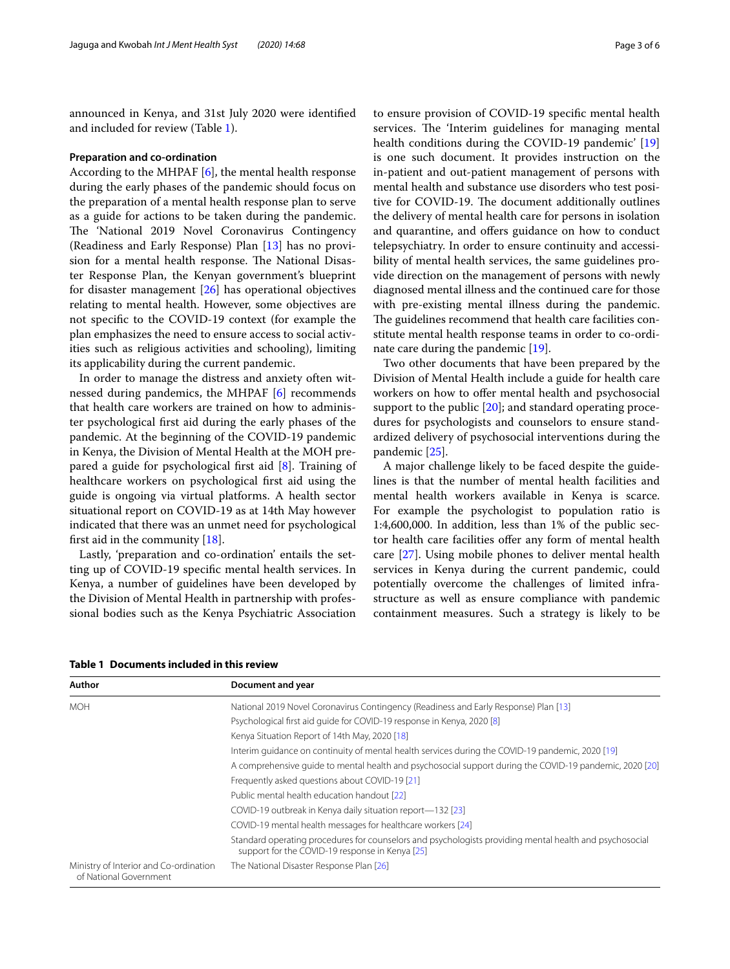announced in Kenya, and 31st July 2020 were identifed and included for review (Table [1](#page-2-0)).

#### **Preparation and co‑ordination**

According to the MHPAF [\[6](#page-4-5)], the mental health response during the early phases of the pandemic should focus on the preparation of a mental health response plan to serve as a guide for actions to be taken during the pandemic. The 'National 2019 Novel Coronavirus Contingency (Readiness and Early Response) Plan [\[13](#page-4-12)] has no provision for a mental health response. The National Disaster Response Plan, the Kenyan government's blueprint for disaster management [\[26](#page-5-0)] has operational objectives relating to mental health. However, some objectives are not specifc to the COVID-19 context (for example the plan emphasizes the need to ensure access to social activities such as religious activities and schooling), limiting its applicability during the current pandemic.

In order to manage the distress and anxiety often witnessed during pandemics, the MHPAF [[6\]](#page-4-5) recommends that health care workers are trained on how to administer psychological frst aid during the early phases of the pandemic. At the beginning of the COVID-19 pandemic in Kenya, the Division of Mental Health at the MOH prepared a guide for psychological frst aid [\[8](#page-4-7)]. Training of healthcare workers on psychological frst aid using the guide is ongoing via virtual platforms. A health sector situational report on COVID-19 as at 14th May however indicated that there was an unmet need for psychological frst aid in the community [\[18\]](#page-4-17).

Lastly, 'preparation and co-ordination' entails the setting up of COVID-19 specifc mental health services. In Kenya, a number of guidelines have been developed by the Division of Mental Health in partnership with professional bodies such as the Kenya Psychiatric Association to ensure provision of COVID-19 specifc mental health services. The 'Interim guidelines for managing mental health conditions during the COVID-19 pandemic' [[19](#page-5-1)] is one such document. It provides instruction on the in-patient and out-patient management of persons with mental health and substance use disorders who test positive for COVID-19. The document additionally outlines the delivery of mental health care for persons in isolation and quarantine, and offers guidance on how to conduct telepsychiatry. In order to ensure continuity and accessibility of mental health services, the same guidelines provide direction on the management of persons with newly diagnosed mental illness and the continued care for those with pre-existing mental illness during the pandemic. The guidelines recommend that health care facilities constitute mental health response teams in order to co-ordinate care during the pandemic [[19](#page-5-1)].

Two other documents that have been prepared by the Division of Mental Health include a guide for health care workers on how to ofer mental health and psychosocial support to the public [[20](#page-5-2)]; and standard operating procedures for psychologists and counselors to ensure standardized delivery of psychosocial interventions during the pandemic [\[25](#page-5-3)].

A major challenge likely to be faced despite the guidelines is that the number of mental health facilities and mental health workers available in Kenya is scarce. For example the psychologist to population ratio is 1:4,600,000. In addition, less than 1% of the public sector health care facilities offer any form of mental health care [\[27](#page-5-4)]. Using mobile phones to deliver mental health services in Kenya during the current pandemic, could potentially overcome the challenges of limited infrastructure as well as ensure compliance with pandemic containment measures. Such a strategy is likely to be

| Author                                                           | Document and year                                                                                                                                          |
|------------------------------------------------------------------|------------------------------------------------------------------------------------------------------------------------------------------------------------|
| <b>MOH</b>                                                       | National 2019 Novel Coronavirus Contingency (Readiness and Early Response) Plan [13]                                                                       |
|                                                                  | Psychological first aid quide for COVID-19 response in Kenya, 2020 [8]                                                                                     |
|                                                                  | Kenya Situation Report of 14th May, 2020 [18]                                                                                                              |
|                                                                  | Interim quidance on continuity of mental health services during the COVID-19 pandemic, 2020 [19]                                                           |
|                                                                  | A comprehensive quide to mental health and psychosocial support during the COVID-19 pandemic, 2020 [20]                                                    |
|                                                                  | Frequently asked questions about COVID-19 [21]                                                                                                             |
|                                                                  | Public mental health education handout [22]                                                                                                                |
|                                                                  | COVID-19 outbreak in Kenya daily situation report-132 [23]                                                                                                 |
|                                                                  | COVID-19 mental health messages for healthcare workers [24]                                                                                                |
|                                                                  | Standard operating procedures for counselors and psychologists providing mental health and psychosocial<br>support for the COVID-19 response in Kenya [25] |
| Ministry of Interior and Co-ordination<br>of National Government | The National Disaster Response Plan [26]                                                                                                                   |

<span id="page-2-0"></span>**Table 1 Documents included in this review**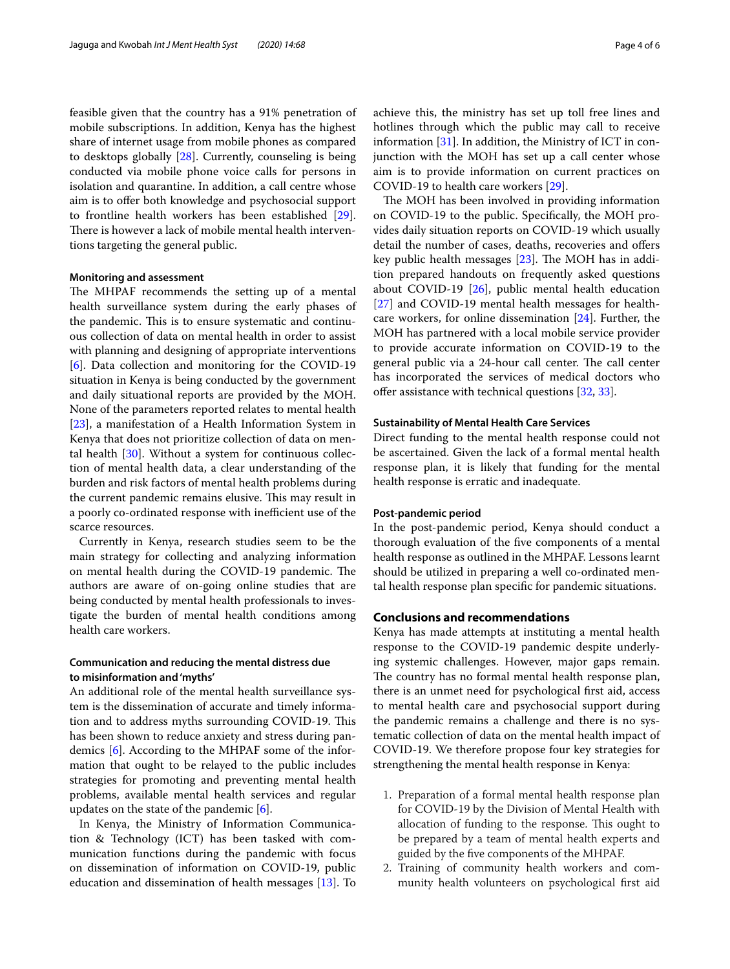feasible given that the country has a 91% penetration of mobile subscriptions. In addition, Kenya has the highest share of internet usage from mobile phones as compared to desktops globally [[28\]](#page-5-9). Currently, counseling is being conducted via mobile phone voice calls for persons in isolation and quarantine. In addition, a call centre whose aim is to offer both knowledge and psychosocial support to frontline health workers has been established [\[29](#page-5-10)]. There is however a lack of mobile mental health interventions targeting the general public.

#### <span id="page-3-0"></span>**Monitoring and assessment**

The MHPAF recommends the setting up of a mental health surveillance system during the early phases of the pandemic. This is to ensure systematic and continuous collection of data on mental health in order to assist with planning and designing of appropriate interventions [[6\]](#page-4-5). Data collection and monitoring for the COVID-19 situation in Kenya is being conducted by the government and daily situational reports are provided by the MOH. None of the parameters reported relates to mental health [[23\]](#page-5-7), a manifestation of a Health Information System in Kenya that does not prioritize collection of data on mental health [[30\]](#page-5-11). Without a system for continuous collection of mental health data, a clear understanding of the burden and risk factors of mental health problems during the current pandemic remains elusive. This may result in a poorly co-ordinated response with inefficient use of the scarce resources.

Currently in Kenya, research studies seem to be the main strategy for collecting and analyzing information on mental health during the COVID-19 pandemic. The authors are aware of on-going online studies that are being conducted by mental health professionals to investigate the burden of mental health conditions among health care workers.

# **Communication and reducing the mental distress due to misinformation and 'myths'**

An additional role of the mental health surveillance system is the dissemination of accurate and timely information and to address myths surrounding COVID-19. This has been shown to reduce anxiety and stress during pandemics [[6\]](#page-4-5). According to the MHPAF some of the information that ought to be relayed to the public includes strategies for promoting and preventing mental health problems, available mental health services and regular updates on the state of the pandemic [\[6](#page-4-5)].

In Kenya, the Ministry of Information Communication & Technology (ICT) has been tasked with communication functions during the pandemic with focus on dissemination of information on COVID-19, public education and dissemination of health messages [[13\]](#page-4-12). To achieve this, the ministry has set up toll free lines and hotlines through which the public may call to receive information [\[31](#page-5-12)]. In addition, the Ministry of ICT in conjunction with the MOH has set up a call center whose aim is to provide information on current practices on COVID-19 to health care workers [\[29](#page-5-10)].

The MOH has been involved in providing information on COVID-19 to the public. Specifcally, the MOH provides daily situation reports on COVID-19 which usually detail the number of cases, deaths, recoveries and offers key public health messages  $[23]$  $[23]$ . The MOH has in addition prepared handouts on frequently asked questions about COVID-19  $[26]$  $[26]$  $[26]$ , public mental health education [[27\]](#page-5-4) and COVID-19 mental health messages for healthcare workers, for online dissemination [\[24](#page-5-8)]. Further, the MOH has partnered with a local mobile service provider to provide accurate information on COVID-19 to the general public via a 24-hour call center. The call center has incorporated the services of medical doctors who offer assistance with technical questions  $[32, 33]$  $[32, 33]$  $[32, 33]$ .

#### **Sustainability of Mental Health Care Services**

Direct funding to the mental health response could not be ascertained. Given the lack of a formal mental health response plan, it is likely that funding for the mental health response is erratic and inadequate.

## **Post‑pandemic period**

In the post-pandemic period, Kenya should conduct a thorough evaluation of the fve components of a mental health response as outlined in the MHPAF. Lessons learnt should be utilized in preparing a well co-ordinated mental health response plan specifc for pandemic situations.

## **Conclusions and recommendations**

Kenya has made attempts at instituting a mental health response to the COVID-19 pandemic despite underlying systemic challenges. However, major gaps remain. The country has no formal mental health response plan, there is an unmet need for psychological frst aid, access to mental health care and psychosocial support during the pandemic remains a challenge and there is no systematic collection of data on the mental health impact of COVID-19. We therefore propose four key strategies for strengthening the mental health response in Kenya:

- 1. Preparation of a formal mental health response plan for COVID-19 by the Division of Mental Health with allocation of funding to the response. This ought to be prepared by a team of mental health experts and guided by the fve components of the MHPAF.
- 2. Training of community health workers and community health volunteers on psychological frst aid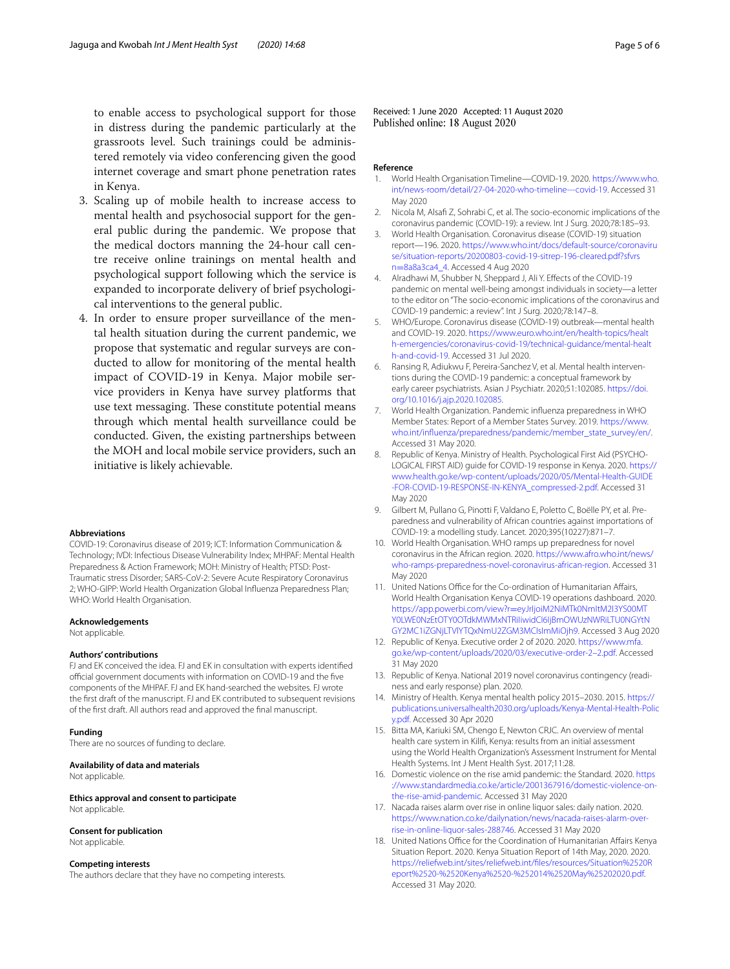to enable access to psychological support for those in distress during the pandemic particularly at the grassroots level. Such trainings could be administered remotely via video conferencing given the good internet coverage and smart phone penetration rates in Kenya.

- 3. Scaling up of mobile health to increase access to mental health and psychosocial support for the general public during the pandemic. We propose that the medical doctors manning the 24-hour call centre receive online trainings on mental health and psychological support following which the service is expanded to incorporate delivery of brief psychological interventions to the general public.
- 4. In order to ensure proper surveillance of the mental health situation during the current pandemic, we propose that systematic and regular surveys are conducted to allow for monitoring of the mental health impact of COVID-19 in Kenya. Major mobile service providers in Kenya have survey platforms that use text messaging. These constitute potential means through which mental health surveillance could be conducted. Given, the existing partnerships between the MOH and local mobile service providers, such an initiative is likely achievable.

#### **Abbreviations**

COVID-19: Coronavirus disease of 2019; ICT: Information Communication & Technology; IVDI: Infectious Disease Vulnerability Index; MHPAF: Mental Health Preparedness & Action Framework; MOH: Ministry of Health; PTSD: Post-Traumatic stress Disorder; SARS-CoV-2: Severe Acute Respiratory Coronavirus 2; WHO-GIPP: World Health Organization Global Infuenza Preparedness Plan; WHO: World Health Organisation.

#### **Acknowledgements**

Not applicable.

#### **Authors' contributions**

FJ and EK conceived the idea. FJ and EK in consultation with experts identifed official government documents with information on COVID-19 and the five components of the MHPAF. FJ and EK hand-searched the websites. FJ wrote the frst draft of the manuscript. FJ and EK contributed to subsequent revisions of the frst draft. All authors read and approved the fnal manuscript.

#### **Funding**

There are no sources of funding to declare.

**Availability of data and materials**

Not applicable.

**Ethics approval and consent to participate** Not applicable.

## **Consent for publication**

Not applicable.

#### **Competing interests**

The authors declare that they have no competing interests.

Received: 1 June 2020 Accepted: 11 August 2020 Published online: 18 August 2020

#### **Reference**

- <span id="page-4-0"></span>1. World Health Organisation Timeline—COVID-19. 2020. [https://www.who.](https://www.who.int/news-room/detail/27-04-2020-who-timeline---covid-19) [int/news-room/detail/27-04-2020-who-timeline---covid-19.](https://www.who.int/news-room/detail/27-04-2020-who-timeline---covid-19) Accessed 31 May 2020
- <span id="page-4-1"></span>2. Nicola M, Alsafi Z, Sohrabi C, et al. The socio-economic implications of the coronavirus pandemic (COVID-19): a review. Int J Surg. 2020;78:185–93.
- <span id="page-4-2"></span>3. World Health Organisation. Coronavirus disease (COVID-19) situation report—196. 2020. [https://www.who.int/docs/default-source/coronaviru](https://www.who.int/docs/default-source/coronaviruse/situation-reports/20200803-covid-19-sitrep-196-cleared.pdf?sfvrsn=8a8a3ca4_4) [se/situation-reports/20200803-covid-19-sitrep-196-cleared.pdf?sfvrs](https://www.who.int/docs/default-source/coronaviruse/situation-reports/20200803-covid-19-sitrep-196-cleared.pdf?sfvrsn=8a8a3ca4_4) n=[8a8a3ca4\\_4](https://www.who.int/docs/default-source/coronaviruse/situation-reports/20200803-covid-19-sitrep-196-cleared.pdf?sfvrsn=8a8a3ca4_4). Accessed 4 Aug 2020
- <span id="page-4-3"></span>4. Alradhawi M, Shubber N, Sheppard J, Ali Y. Efects of the COVID-19 pandemic on mental well-being amongst individuals in society—a letter to the editor on "The socio-economic implications of the coronavirus and COVID-19 pandemic: a review". Int J Surg. 2020;78:147–8.
- <span id="page-4-4"></span>5. WHO/Europe. Coronavirus disease (COVID-19) outbreak—mental health and COVID-19. 2020. [https://www.euro.who.int/en/health-topics/healt](http://www.euro.who.int/en/health-topics/health-emergencies/coronavirus-covid-19/technical-guidance/mental-health-and-covid-19) [h-emergencies/coronavirus-covid-19/technical-guidance/mental-healt](http://www.euro.who.int/en/health-topics/health-emergencies/coronavirus-covid-19/technical-guidance/mental-health-and-covid-19) [h-and-covid-19.](http://www.euro.who.int/en/health-topics/health-emergencies/coronavirus-covid-19/technical-guidance/mental-health-and-covid-19) Accessed 31 Jul 2020.
- <span id="page-4-5"></span>6. Ransing R, Adiukwu F, Pereira-Sanchez V, et al. Mental health interventions during the COVID-19 pandemic: a conceptual framework by early career psychiatrists. Asian J Psychiatr. 2020;51:102085. [https://doi.](https://doi.org/10.1016/j.ajp.2020.102085) [org/10.1016/j.ajp.2020.102085.](https://doi.org/10.1016/j.ajp.2020.102085)
- <span id="page-4-6"></span>7. World Health Organization. Pandemic infuenza preparedness in WHO Member States: Report of a Member States Survey. 2019. [https://www.](https://www.who.int/influenza/preparedness/pandemic/member_state_survey/en/) [who.int/infuenza/preparedness/pandemic/member\\_state\\_survey/en/](https://www.who.int/influenza/preparedness/pandemic/member_state_survey/en/). Accessed 31 May 2020.
- <span id="page-4-7"></span>8. Republic of Kenya. Ministry of Health. Psychological First Aid (PSYCHO-LOGICAL FIRST AID) guide for COVID-19 response in Kenya. 2020. [https://](https://www.health.go.ke/wp-content/uploads/2020/05/Mental-Health-GUIDE-FOR-COVID-19-RESPONSE-IN-KENYA_compressed-2.pdf) [www.health.go.ke/wp-content/uploads/2020/05/Mental-Health-GUIDE](https://www.health.go.ke/wp-content/uploads/2020/05/Mental-Health-GUIDE-FOR-COVID-19-RESPONSE-IN-KENYA_compressed-2.pdf) [-FOR-COVID-19-RESPONSE-IN-KENYA\\_compressed-2.pdf](https://www.health.go.ke/wp-content/uploads/2020/05/Mental-Health-GUIDE-FOR-COVID-19-RESPONSE-IN-KENYA_compressed-2.pdf). Accessed 31 May 2020
- <span id="page-4-8"></span>9. Gilbert M, Pullano G, Pinotti F, Valdano E, Poletto C, Boëlle PY, et al. Preparedness and vulnerability of African countries against importations of COVID-19: a modelling study. Lancet. 2020;395(10227):871–7.
- <span id="page-4-9"></span>10. World Health Organisation. WHO ramps up preparedness for novel coronavirus in the African region. 2020. [https://www.afro.who.int/news/](https://www.afro.who.int/news/who-ramps-preparedness-novel-coronavirus-african-region) [who-ramps-preparedness-novel-coronavirus-african-region.](https://www.afro.who.int/news/who-ramps-preparedness-novel-coronavirus-african-region) Accessed 31 May 2020
- <span id="page-4-10"></span>11. United Nations Office for the Co-ordination of Humanitarian Affairs, World Health Organisation Kenya COVID-19 operations dashboard. 2020. https://app.powerbi.com/view?r=eyJrIjoiM2NiMTk0NmItM2I3YS00MT [Y0LWE0NzEtOTY0OTdkMWMxNTRiIiwidCI6IjBmOWUzNWRiLTU0NGYtN](https://app.powerbi.com/view?r=eyJrIjoiM2NiMTk0NmItM2I3YS00MTY0LWE0NzEtOTY0OTdkMWMxNTRiIiwidCI6IjBmOWUzNWRiLTU0NGYtNGY2MC1iZGNjLTVlYTQxNmU2ZGM3MCIsImMiOjh9) [GY2MC1iZGNjLTVlYTQxNmU2ZGM3MCIsImMiOjh9.](https://app.powerbi.com/view?r=eyJrIjoiM2NiMTk0NmItM2I3YS00MTY0LWE0NzEtOTY0OTdkMWMxNTRiIiwidCI6IjBmOWUzNWRiLTU0NGYtNGY2MC1iZGNjLTVlYTQxNmU2ZGM3MCIsImMiOjh9) Accessed 3 Aug 2020
- <span id="page-4-11"></span>12. Republic of Kenya. Executive order 2 of 2020. 2020. [https://www.mfa.](http://www.mfa.go.ke/wp-content/uploads/2020/03/executive-order-2–2.pdf) [go.ke/wp-content/uploads/2020/03/executive-order-2–2.pdf](http://www.mfa.go.ke/wp-content/uploads/2020/03/executive-order-2–2.pdf). Accessed 31 May 2020
- <span id="page-4-12"></span>13. Republic of Kenya. National 2019 novel coronavirus contingency (readiness and early response) plan. 2020.
- <span id="page-4-13"></span>14. Ministry of Health. Kenya mental health policy 2015–2030. 2015. [https://](http://publications.universalhealth2030.org/uploads/Kenya-Mental-Health-Policy.pdf) [publications.universalhealth2030.org/uploads/Kenya-Mental-Health-Polic](http://publications.universalhealth2030.org/uploads/Kenya-Mental-Health-Policy.pdf) [y.pdf](http://publications.universalhealth2030.org/uploads/Kenya-Mental-Health-Policy.pdf). Accessed 30 Apr 2020
- <span id="page-4-14"></span>15. Bitta MA, Kariuki SM, Chengo E, Newton CRJC. An overview of mental health care system in Kilif, Kenya: results from an initial assessment using the World Health Organization's Assessment Instrument for Mental Health Systems. Int J Ment Health Syst. 2017;11:28.
- <span id="page-4-15"></span>16. Domestic violence on the rise amid pandemic: the Standard. 2020. [https](https://www.standardmedia.co.ke/article/2001367916/domestic-violence-on-the-rise-amid-pandemic) [://www.standardmedia.co.ke/article/2001367916/domestic-violence-on](https://www.standardmedia.co.ke/article/2001367916/domestic-violence-on-the-rise-amid-pandemic)[the-rise-amid-pandemic.](https://www.standardmedia.co.ke/article/2001367916/domestic-violence-on-the-rise-amid-pandemic) Accessed 31 May 2020
- <span id="page-4-16"></span>17. Nacada raises alarm over rise in online liquor sales: daily nation. 2020. [https://www.nation.co.ke/dailynation/news/nacada-raises-alarm-over](https://www.nation.co.ke/dailynation/news/nacada-raises-alarm-over-rise-in-online-liquor-sales-288746)[rise-in-online-liquor-sales-288746.](https://www.nation.co.ke/dailynation/news/nacada-raises-alarm-over-rise-in-online-liquor-sales-288746) Accessed 31 May 2020
- <span id="page-4-17"></span>18. United Nations Office for the Coordination of Humanitarian Affairs Kenya Situation Report. 2020. Kenya Situation Report of 14th May, 2020. 2020. [https://reliefweb.int/sites/reliefweb.int/fles/resources/Situation%2520R](https://reliefweb.int/sites/reliefweb.int/files/resources/Situation%2520Report%2520-%2520Kenya%2520-%252014%2520May%25202020.pdf) [eport%2520-%2520Kenya%2520-%252014%2520May%25202020.pdf.](https://reliefweb.int/sites/reliefweb.int/files/resources/Situation%2520Report%2520-%2520Kenya%2520-%252014%2520May%25202020.pdf) Accessed 31 May 2020.